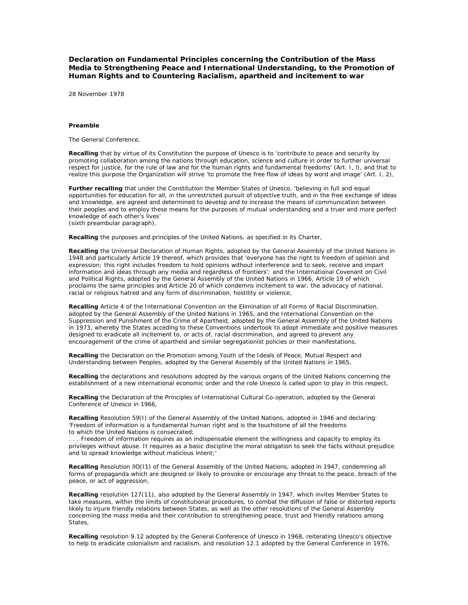**Declaration on Fundamental Principles concerning the Contribution of the Mass Media to Strengthening Peace and International Understanding, to the Promotion of Human Rights and to Countering Racialism, apartheid and incitement to war**

28 November 1978

# **Preamble**

The General Conference,

**Recalling** that by virtue of its Constitution the purpose of Unesco is to 'contribute to peace and security by promoting collaboration among the nations through education, science and culture in order to further universal respect for justice, for the rule of law and for the human rights and fundamental freedoms' (Art. I, l), and that to realize this purpose the Organization will strive 'to promote the free flow of ideas by word and image' (Art. I, 2),

**Further recalling** that under the Constitution the Member States of Unesco, 'believing in full and equal opportunities for education for all, in the unrestricted pursuit of objective truth, and in the free exchange of ideas and knowledge, are agreed and determined to develop and to increase the means of communication between their peoples and to employ these means for the purposes of mutual understanding and a truer and more perfect knowledge of each other's lives' (sixth preambular paragraph),

**Recalling** the purposes and principles of the United Nations, as specified in its Charter,

**Recalling** the Universal Declaration of Human Rights, adopted by the General Assembly of the United Nations in 1948 and particularly Article 19 thereof, which provides that 'everyone has the right to freedom of opinion and expression; this right includes freedom to hold opinions without interference and to seek, receive and impart information and ideas through any media and regardless of frontiers'; and the International Covenant on Civil and Political Rights, adopted by the General Assembly of the United Nations in 1966, Article 19 of which proclaims the same principles and Article 20 of which condemns incitement to war, the advocacy of national, racial or religious hatred and any form of discrimination, hostility or violence,

**Recalling** Article 4 of the International Convention on the Elimination of all Forms of Racial Discrimination, adopted by the General Assembly of the United Nations in 1965, and the International Convention on the Suppression and Punishment of the Crime of Apartheid, adopted by the General Assembly of the United Nations in 1973, whereby the States acceding to these Conventions undertook to adopt immediate and positive measures designed to eradicate all incitement to, or acts of, racial discrimination, and agreed to prevent any encouragement of the crime of apartheid and similar segregationist policies or their manifestations,

**Recalling** the Declaration on the Promotion among Youth of the Ideals of Peace, Mutual Respect and Understanding between Peoples, adopted by the General Assembly of the United Nations in 1965,

**Recalling** the declarations and resolutions adopted by the various organs of the United Nations concerning the establishment of a new international economic order and the role Unesco is called upon to play in this respect,

**Recalling** the Declaration of the Principles of International Cultural Co-operation, adopted by the General Conference of Unesco in 1966,

**Recalling** Resolution 59(I) of the General Assembly of the United Nations, adopted in 1946 and declaring: 'Freedom of information is a fundamental human right and is the touchstone of all the freedoms to which the United Nations is consecrated;

. . . Freedom of information requires as an indispensable element the willingness and capacity to employ its privileges without abuse. It requires as a basic discipline the moral obligation to seek the facts without prejudice and to spread knowledge without malicious intent;'

**Recalling** Resolution llO(I1) of the General Assembly of the United Nations, adopted in 1947, condemning all forms of propaganda which are designed or likely to provoke or encourage any threat to the peace, breach of the peace, or act of aggression,

**Recalling** resolution 127(11), also adopted by the General Assembly in 1947, which invites Member States to take measures, within the limits of constitutional procedures, to combat the diffusion of false or distorted reports likely to injure friendly relations between States, as well as the other resolutions of the General Assembly concerning the mass media and their contribution to strengthening peace, trust and friendly relations among States,

**Recalling** resolution 9.12 adopted by the General Conference of Unesco in 1968, reiterating Unesco's objective to help to eradicate colonialism and racialism, and resolution 12.1 adopted by the General Conference in 1976,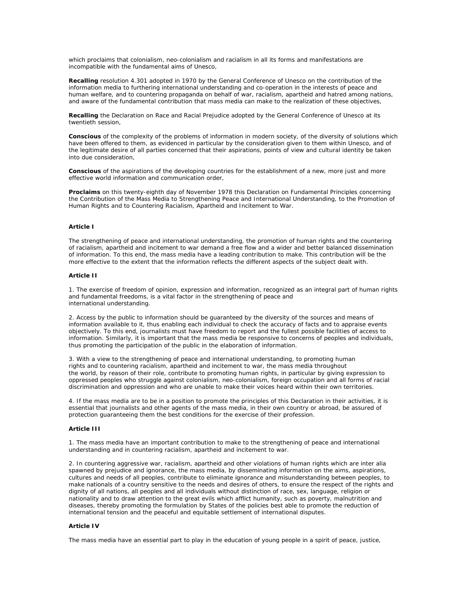which proclaims that colonialism, neo-colonialism and racialism in all its forms and manifestations are incompatible with the fundamental aims of Unesco,

**Recalling** resolution 4.301 adopted in 1970 by the General Conference of Unesco on the contribution of the information media to furthering international understanding and co-operation in the interests of peace and human welfare, and to countering propaganda on behalf of war, racialism, apartheid and hatred among nations, and aware of the fundamental contribution that mass media can make to the realization of these objectives,

**Recalling** the Declaration on Race and Racial Prejudice adopted by the General Conference of Unesco at its twentieth session,

**Conscious** of the complexity of the problems of information in modern society, of the diversity of solutions which have been offered to them, as evidenced in particular by the consideration given to them within Unesco, and of the legitimate desire of all parties concerned that their aspirations, points of view and cultural identity be taken into due consideration,

**Conscious** of the aspirations of the developing countries for the establishment of a new, more just and more effective world information and communication order,

**Proclaims** on this twenty-eighth day of November 1978 this Declaration on Fundamental Principles concerning the Contribution of the Mass Media to Strengthening Peace and International Understanding, to the Promotion of Human Rights and to Countering Racialism, Apartheid and Incitement to War.

## **Article I**

The strengthening of peace and international understanding, the promotion of human rights and the countering of racialism, apartheid and incitement to war demand a free flow and a wider and better balanced dissemination of information. To this end, the mass media have a leading contribution to make. This contribution will be the more effective to the extent that the information reflects the different aspects of the subject dealt with.

## **Article II**

1. The exercise of freedom of opinion, expression and information, recognized as an integral part of human rights and fundamental freedoms, is a vital factor in the strengthening of peace and international understanding.

2. Access by the public to information should be guaranteed by the diversity of the sources and means of information available to it, thus enabling each individual to check the accuracy of facts and to appraise events objectively. To this end, journalists must have freedom to report and the fullest possible facilities of access to information. Similarly, it is important that the mass media be responsive to concerns of peoples and individuals, thus promoting the participation of the public in the elaboration of information.

3. With a view to the strengthening of peace and international understanding, to promoting human rights and to countering racialism, apartheid and incitement to war, the mass media throughout the world, by reason of their role, contribute to promoting human rights, in particular by giving expression to oppressed peoples who struggle against colonialism, neo-colonialism, foreign occupation and all forms of racial discrimination and oppression and who are unable to make their voices heard within their own territories.

4. If the mass media are to be in a position to promote the principles of this Declaration in their activities, it is essential that journalists and other agents of the mass media, in their own country or abroad, be assured of protection guaranteeing them the best conditions for the exercise of their profession.

#### **Article III**

1. The mass media have an important contribution to make to the strengthening of peace and international understanding and in countering racialism, apartheid and incitement to war.

2. In countering aggressive war, racialism, apartheid and other violations of human rights which are inter alia spawned by prejudice and ignorance, the mass media, by disseminating information on the aims, aspirations, cultures and needs of all peoples, contribute to eliminate ignorance and misunderstanding between peoples, to make nationals of a country sensitive to the needs and desires of others, to ensure the respect of the rights and dignity of all nations, all peoples and all individuals without distinction of race, sex, language, religion or nationality and to draw attention to the great evils which afflict humanity, such as poverty, malnutrition and diseases, thereby promoting the formulation by States of the policies best able to promote the reduction of international tension and the peaceful and equitable settlement of international disputes.

# **Article IV**

The mass media have an essential part to play in the education of young people in a spirit of peace, justice,